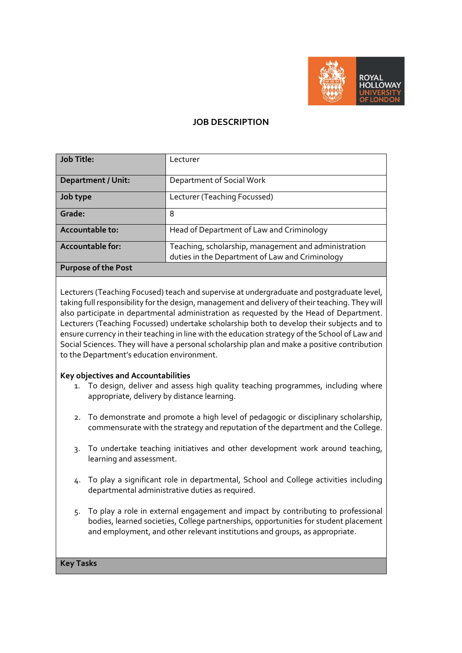

# **JOB DESCRIPTION**

| <b>Job Title:</b>          | Lecturer                                             |
|----------------------------|------------------------------------------------------|
|                            |                                                      |
| <b>Department / Unit:</b>  | Department of Social Work                            |
| Job type                   | Lecturer (Teaching Focussed)                         |
| Grade:                     | 8                                                    |
| Accountable to:            | Head of Department of Law and Criminology            |
| <b>Accountable for:</b>    | Teaching, scholarship, management and administration |
|                            | duties in the Department of Law and Criminology      |
| <b>Purpose of the Post</b> |                                                      |

Lecturers (Teaching Focused) teach and supervise at undergraduate and postgraduate level, taking full responsibility for the design, management and delivery of their teaching. They will also participate in departmental administration as requested by the Head of Department. Lecturers (Teaching Focussed) undertake scholarship both to develop their subjects and to ensure currency in their teaching in line with the education strategy of the School of Law and Social Sciences. They will have a personal scholarship plan and make a positive contribution to the Department's education environment.

## **Key objectives and Accountabilities**

- 1. To design, deliver and assess high quality teaching programmes, including where appropriate, delivery by distance learning.
- 2. To demonstrate and promote a high level of pedagogic or disciplinary scholarship, commensurate with the strategy and reputation of the department and the College.
- 3. To undertake teaching initiatives and other development work around teaching, learning and assessment.
- 4. To play a significant role in departmental, School and College activities including departmental administrative duties as required.
- 5. To play a role in external engagement and impact by contributing to professional bodies, learned societies, College partnerships, opportunities for student placement and employment, and other relevant institutions and groups, as appropriate.

#### **Key Tasks**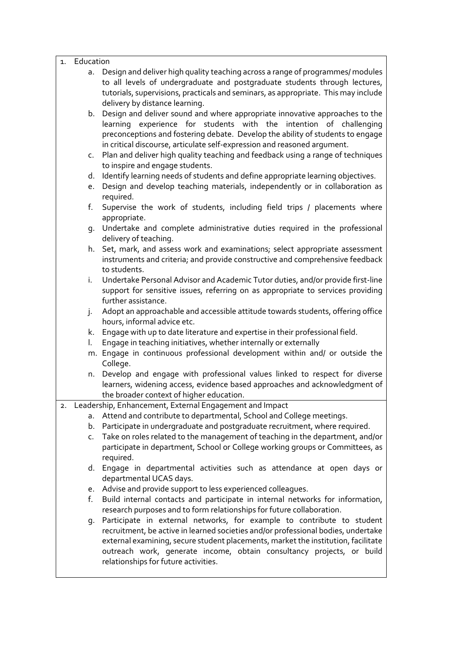| Education |
|-----------|
|-----------|

- a. Design and deliver high quality teaching across a range of programmes/ modules to all levels of undergraduate and postgraduate students through lectures, tutorials, supervisions, practicals and seminars, as appropriate. This may include delivery by distance learning.
- b. Design and deliver sound and where appropriate innovative approaches to the learning experience for students with the intention of challenging preconceptions and fostering debate. Develop the ability of students to engage in critical discourse, articulate self-expression and reasoned argument.
- c. Plan and deliver high quality teaching and feedback using a range of techniques to inspire and engage students.
- d. Identify learning needs of students and define appropriate learning objectives.
- e. Design and develop teaching materials, independently or in collaboration as required.
- f. Supervise the work of students, including field trips / placements where appropriate.
- g. Undertake and complete administrative duties required in the professional delivery of teaching.
- h. Set, mark, and assess work and examinations; select appropriate assessment instruments and criteria; and provide constructive and comprehensive feedback to students.
- i. Undertake Personal Advisor and Academic Tutor duties, and/or provide first-line support for sensitive issues, referring on as appropriate to services providing further assistance.
- j. Adopt an approachable and accessible attitude towards students, offering office hours, informal advice etc.
- k. Engage with up to date literature and expertise in their professional field.
- l. Engage in teaching initiatives, whether internally or externally
- m. Engage in continuous professional development within and/ or outside the College.
- n. Develop and engage with professional values linked to respect for diverse learners, widening access, evidence based approaches and acknowledgment of the broader context of higher education.
- 2. Leadership, Enhancement, External Engagement and Impact
	- a. Attend and contribute to departmental, School and College meetings.
	- b. Participate in undergraduate and postgraduate recruitment, where required.
	- c. Take on roles related to the management of teaching in the department, and/or participate in department, School or College working groups or Committees, as required.
	- d. Engage in departmental activities such as attendance at open days or departmental UCAS days.
	- e. Advise and provide support to less experienced colleagues.
	- f. Build internal contacts and participate in internal networks for information, research purposes and to form relationships for future collaboration.
	- g. Participate in external networks, for example to contribute to student recruitment, be active in learned societies and/or professional bodies, undertake external examining, secure student placements, market the institution, facilitate outreach work, generate income, obtain consultancy projects, or build relationships for future activities.